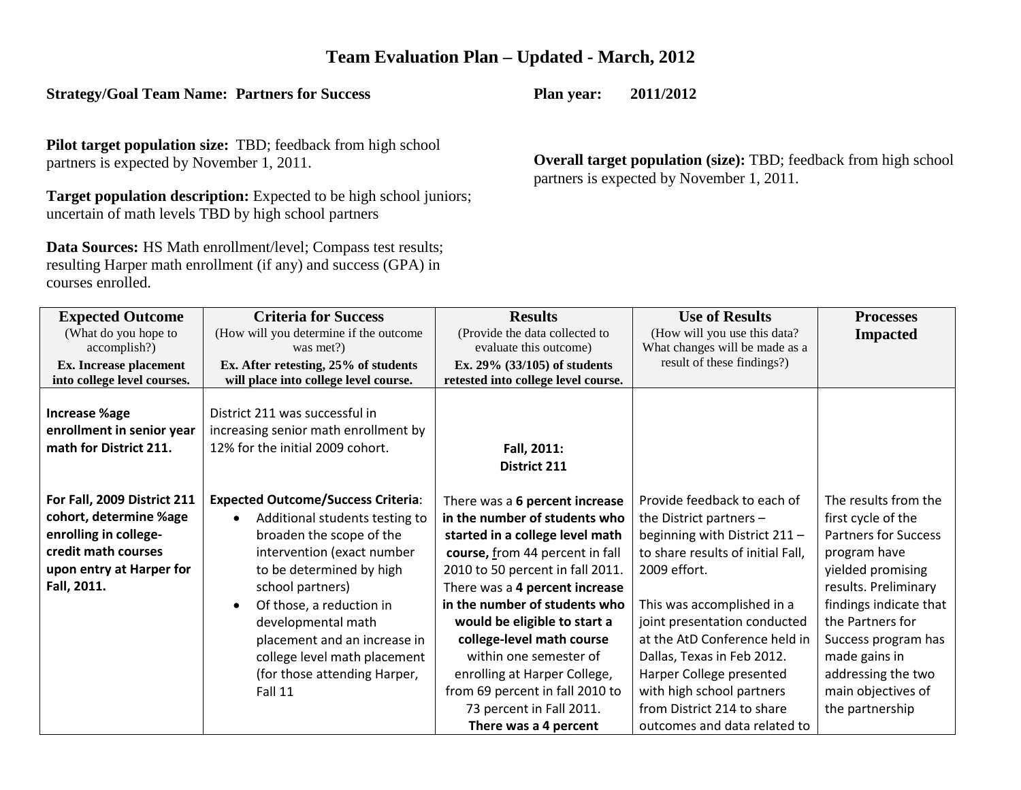# **Team Evaluation Plan – Updated - March, 2012**

## **Strategy/Goal Team Name: Partners for Success**

**Pilot target population size:** TBD; feedback from high school partners is expected by November 1, 2011.

**Target population description:** Expected to be high school juniors; uncertain of math levels TBD by high school partners

**Data Sources:** HS Math enrollment/level; Compass test results; resulting Harper math enrollment (if any) and success (GPA) in courses enrolled.

**Plan year: 2011/2012**

**Overall target population (size):** TBD; feedback from high school partners is expected by November 1, 2011.

| <b>Expected Outcome</b><br>(What do you hope to<br>accomplish?)                                                                                  | <b>Criteria for Success</b><br>(How will you determine if the outcome<br>was met?)                                                                                                                                                                                                                                                                              | <b>Results</b><br>(Provide the data collected to<br>evaluate this outcome)                                                                                                                                                                                                                                                                                                                                                                                  | <b>Use of Results</b><br>(How will you use this data?<br>What changes will be made as a                                                                                                                                                                                                                                                                                                            | <b>Processes</b><br><b>Impacted</b>                                                                                                                                                                                                                                                         |
|--------------------------------------------------------------------------------------------------------------------------------------------------|-----------------------------------------------------------------------------------------------------------------------------------------------------------------------------------------------------------------------------------------------------------------------------------------------------------------------------------------------------------------|-------------------------------------------------------------------------------------------------------------------------------------------------------------------------------------------------------------------------------------------------------------------------------------------------------------------------------------------------------------------------------------------------------------------------------------------------------------|----------------------------------------------------------------------------------------------------------------------------------------------------------------------------------------------------------------------------------------------------------------------------------------------------------------------------------------------------------------------------------------------------|---------------------------------------------------------------------------------------------------------------------------------------------------------------------------------------------------------------------------------------------------------------------------------------------|
| Ex. Increase placement<br>into college level courses.                                                                                            | Ex. After retesting, 25% of students<br>will place into college level course.                                                                                                                                                                                                                                                                                   | Ex. $29\%$ (33/105) of students<br>retested into college level course.                                                                                                                                                                                                                                                                                                                                                                                      | result of these findings?)                                                                                                                                                                                                                                                                                                                                                                         |                                                                                                                                                                                                                                                                                             |
| <b>Increase %age</b><br>enrollment in senior year<br>math for District 211.                                                                      | District 211 was successful in<br>increasing senior math enrollment by<br>12% for the initial 2009 cohort.                                                                                                                                                                                                                                                      | Fall, 2011:<br>District 211                                                                                                                                                                                                                                                                                                                                                                                                                                 |                                                                                                                                                                                                                                                                                                                                                                                                    |                                                                                                                                                                                                                                                                                             |
| For Fall, 2009 District 211<br>cohort, determine %age<br>enrolling in college-<br>credit math courses<br>upon entry at Harper for<br>Fall, 2011. | <b>Expected Outcome/Success Criteria:</b><br>Additional students testing to<br>$\bullet$<br>broaden the scope of the<br>intervention (exact number<br>to be determined by high<br>school partners)<br>Of those, a reduction in<br>developmental math<br>placement and an increase in<br>college level math placement<br>(for those attending Harper,<br>Fall 11 | There was a 6 percent increase<br>in the number of students who<br>started in a college level math<br>course, from 44 percent in fall<br>2010 to 50 percent in fall 2011.<br>There was a 4 percent increase<br>in the number of students who<br>would be eligible to start a<br>college-level math course<br>within one semester of<br>enrolling at Harper College,<br>from 69 percent in fall 2010 to<br>73 percent in Fall 2011.<br>There was a 4 percent | Provide feedback to each of<br>the District partners $-$<br>beginning with District 211 -<br>to share results of initial Fall,<br>2009 effort.<br>This was accomplished in a<br>joint presentation conducted<br>at the AtD Conference held in<br>Dallas, Texas in Feb 2012.<br>Harper College presented<br>with high school partners<br>from District 214 to share<br>outcomes and data related to | The results from the<br>first cycle of the<br><b>Partners for Success</b><br>program have<br>yielded promising<br>results. Preliminary<br>findings indicate that<br>the Partners for<br>Success program has<br>made gains in<br>addressing the two<br>main objectives of<br>the partnership |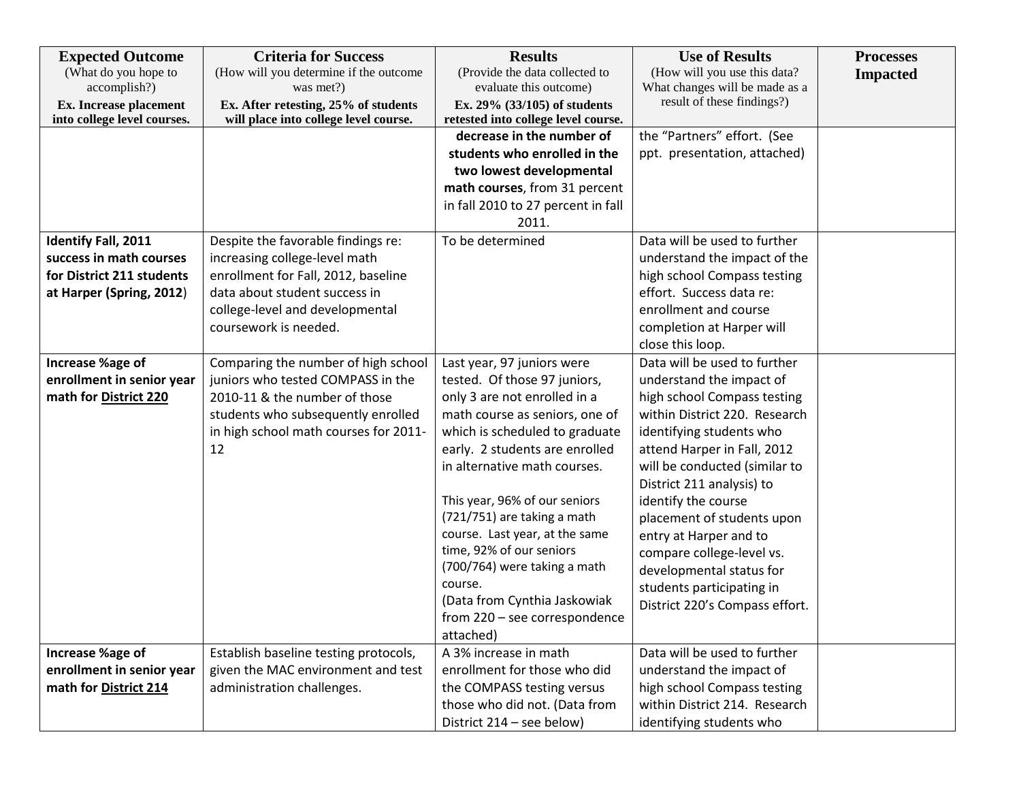| <b>Expected Outcome</b><br>(What do you hope to                       | <b>Criteria for Success</b><br>(How will you determine if the outcome                      | <b>Results</b><br>(Provide the data collected to                                              | <b>Use of Results</b><br>(How will you use this data?        | <b>Processes</b><br><b>Impacted</b> |
|-----------------------------------------------------------------------|--------------------------------------------------------------------------------------------|-----------------------------------------------------------------------------------------------|--------------------------------------------------------------|-------------------------------------|
| accomplish?)<br>Ex. Increase placement<br>into college level courses. | was met?)<br>Ex. After retesting, 25% of students<br>will place into college level course. | evaluate this outcome)<br>Ex. 29% (33/105) of students<br>retested into college level course. | What changes will be made as a<br>result of these findings?) |                                     |
|                                                                       |                                                                                            | decrease in the number of<br>students who enrolled in the                                     | the "Partners" effort. (See<br>ppt. presentation, attached)  |                                     |
|                                                                       |                                                                                            | two lowest developmental                                                                      |                                                              |                                     |
|                                                                       |                                                                                            | math courses, from 31 percent                                                                 |                                                              |                                     |
|                                                                       |                                                                                            | in fall 2010 to 27 percent in fall<br>2011.                                                   |                                                              |                                     |
| <b>Identify Fall, 2011</b>                                            | Despite the favorable findings re:                                                         | To be determined                                                                              | Data will be used to further                                 |                                     |
| success in math courses                                               | increasing college-level math                                                              |                                                                                               | understand the impact of the                                 |                                     |
| for District 211 students                                             | enrollment for Fall, 2012, baseline                                                        |                                                                                               | high school Compass testing                                  |                                     |
| at Harper (Spring, 2012)                                              | data about student success in                                                              |                                                                                               | effort. Success data re:                                     |                                     |
|                                                                       | college-level and developmental                                                            |                                                                                               | enrollment and course                                        |                                     |
|                                                                       | coursework is needed.                                                                      |                                                                                               | completion at Harper will                                    |                                     |
|                                                                       |                                                                                            |                                                                                               | close this loop.<br>Data will be used to further             |                                     |
| Increase %age of<br>enrollment in senior year                         | Comparing the number of high school<br>juniors who tested COMPASS in the                   | Last year, 97 juniors were<br>tested. Of those 97 juniors,                                    | understand the impact of                                     |                                     |
| math for District 220                                                 | 2010-11 & the number of those                                                              | only 3 are not enrolled in a                                                                  | high school Compass testing                                  |                                     |
|                                                                       | students who subsequently enrolled                                                         | math course as seniors, one of                                                                | within District 220. Research                                |                                     |
|                                                                       | in high school math courses for 2011-                                                      | which is scheduled to graduate                                                                | identifying students who                                     |                                     |
|                                                                       | 12                                                                                         | early. 2 students are enrolled                                                                | attend Harper in Fall, 2012                                  |                                     |
|                                                                       |                                                                                            | in alternative math courses.                                                                  | will be conducted (similar to                                |                                     |
|                                                                       |                                                                                            |                                                                                               | District 211 analysis) to                                    |                                     |
|                                                                       |                                                                                            | This year, 96% of our seniors                                                                 | identify the course                                          |                                     |
|                                                                       |                                                                                            | (721/751) are taking a math                                                                   | placement of students upon                                   |                                     |
|                                                                       |                                                                                            | course. Last year, at the same                                                                | entry at Harper and to                                       |                                     |
|                                                                       |                                                                                            | time, 92% of our seniors                                                                      | compare college-level vs.                                    |                                     |
|                                                                       |                                                                                            | (700/764) were taking a math                                                                  | developmental status for                                     |                                     |
|                                                                       |                                                                                            | course.                                                                                       | students participating in                                    |                                     |
|                                                                       |                                                                                            | (Data from Cynthia Jaskowiak                                                                  | District 220's Compass effort.                               |                                     |
|                                                                       |                                                                                            | from 220 - see correspondence                                                                 |                                                              |                                     |
|                                                                       |                                                                                            | attached)                                                                                     |                                                              |                                     |
| Increase %age of                                                      | Establish baseline testing protocols,                                                      | A 3% increase in math                                                                         | Data will be used to further                                 |                                     |
| enrollment in senior year                                             | given the MAC environment and test                                                         | enrollment for those who did                                                                  | understand the impact of                                     |                                     |
| math for District 214                                                 | administration challenges.                                                                 | the COMPASS testing versus                                                                    | high school Compass testing                                  |                                     |
|                                                                       |                                                                                            | those who did not. (Data from                                                                 | within District 214. Research                                |                                     |
|                                                                       |                                                                                            | District 214 - see below)                                                                     | identifying students who                                     |                                     |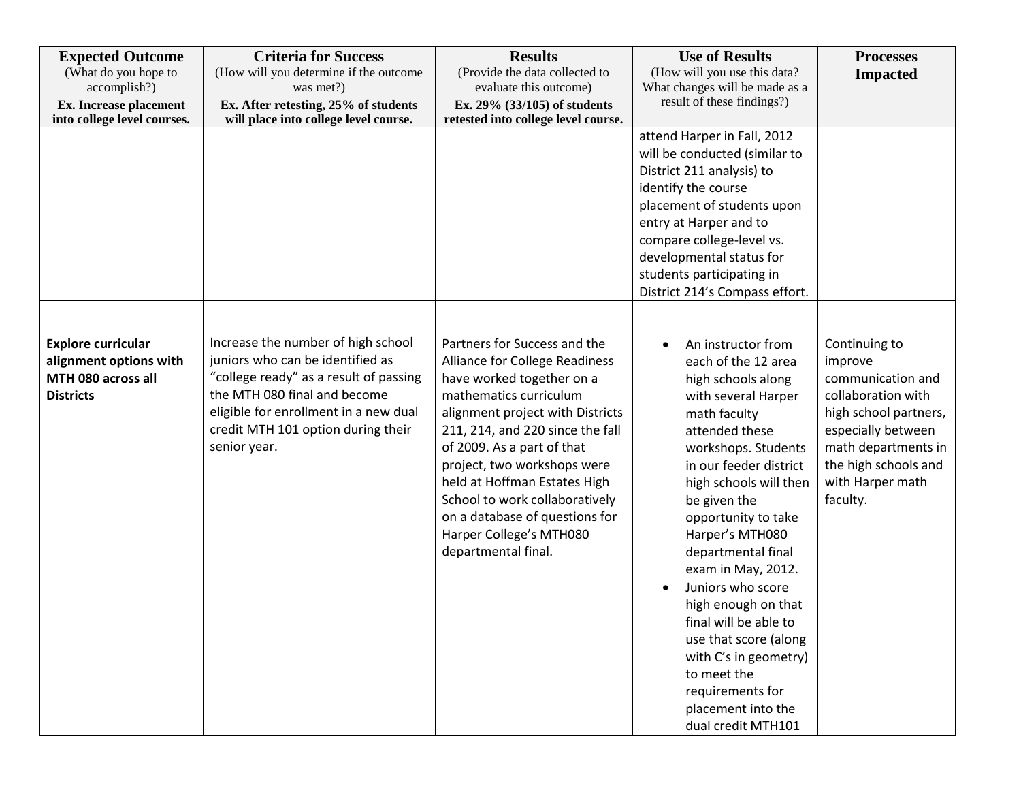| <b>Expected Outcome</b><br>(What do you hope to<br>accomplish?)<br><b>Ex.</b> Increase placement<br>into college level courses. | <b>Criteria for Success</b><br>(How will you determine if the outcome<br>was met?)<br>Ex. After retesting, 25% of students<br>will place into college level course.                                                                             | <b>Results</b><br>(Provide the data collected to<br>evaluate this outcome)<br>Ex. 29% (33/105) of students<br>retested into college level course.                                                                                                                                                                                                                                                                | <b>Use of Results</b><br>(How will you use this data?<br>What changes will be made as a<br>result of these findings?)                                                                                                                                                                                                                                                                                                                                                                                           | <b>Processes</b><br><b>Impacted</b>                                                                                                                                                               |
|---------------------------------------------------------------------------------------------------------------------------------|-------------------------------------------------------------------------------------------------------------------------------------------------------------------------------------------------------------------------------------------------|------------------------------------------------------------------------------------------------------------------------------------------------------------------------------------------------------------------------------------------------------------------------------------------------------------------------------------------------------------------------------------------------------------------|-----------------------------------------------------------------------------------------------------------------------------------------------------------------------------------------------------------------------------------------------------------------------------------------------------------------------------------------------------------------------------------------------------------------------------------------------------------------------------------------------------------------|---------------------------------------------------------------------------------------------------------------------------------------------------------------------------------------------------|
|                                                                                                                                 |                                                                                                                                                                                                                                                 |                                                                                                                                                                                                                                                                                                                                                                                                                  | attend Harper in Fall, 2012<br>will be conducted (similar to<br>District 211 analysis) to<br>identify the course<br>placement of students upon<br>entry at Harper and to<br>compare college-level vs.<br>developmental status for<br>students participating in<br>District 214's Compass effort.                                                                                                                                                                                                                |                                                                                                                                                                                                   |
| <b>Explore curricular</b><br>alignment options with<br>MTH 080 across all<br><b>Districts</b>                                   | Increase the number of high school<br>juniors who can be identified as<br>"college ready" as a result of passing<br>the MTH 080 final and become<br>eligible for enrollment in a new dual<br>credit MTH 101 option during their<br>senior year. | Partners for Success and the<br>Alliance for College Readiness<br>have worked together on a<br>mathematics curriculum<br>alignment project with Districts<br>211, 214, and 220 since the fall<br>of 2009. As a part of that<br>project, two workshops were<br>held at Hoffman Estates High<br>School to work collaboratively<br>on a database of questions for<br>Harper College's MTH080<br>departmental final. | An instructor from<br>each of the 12 area<br>high schools along<br>with several Harper<br>math faculty<br>attended these<br>workshops. Students<br>in our feeder district<br>high schools will then<br>be given the<br>opportunity to take<br>Harper's MTH080<br>departmental final<br>exam in May, 2012.<br>Juniors who score<br>high enough on that<br>final will be able to<br>use that score (along<br>with C's in geometry)<br>to meet the<br>requirements for<br>placement into the<br>dual credit MTH101 | Continuing to<br>improve<br>communication and<br>collaboration with<br>high school partners,<br>especially between<br>math departments in<br>the high schools and<br>with Harper math<br>faculty. |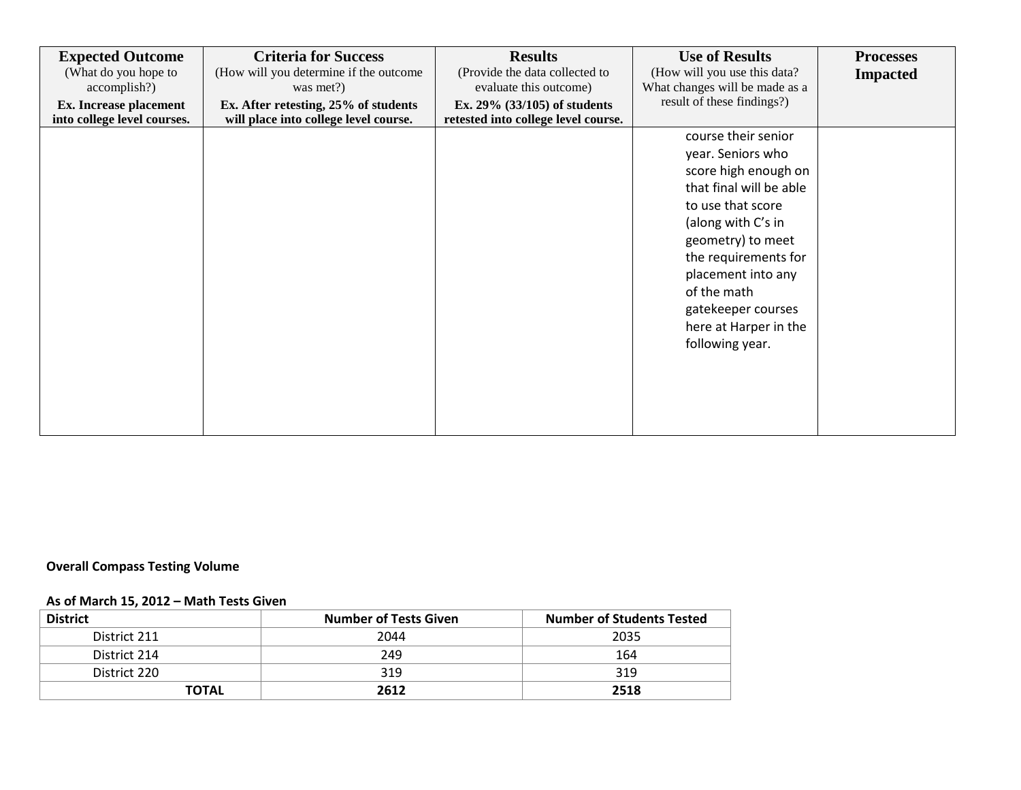| <b>Expected Outcome</b><br>(What do you hope to              | <b>Criteria for Success</b><br>(How will you determine if the outcome         | <b>Results</b><br>(Provide the data collected to                       | <b>Use of Results</b><br>(How will you use this data?        | <b>Processes</b><br><b>Impacted</b> |
|--------------------------------------------------------------|-------------------------------------------------------------------------------|------------------------------------------------------------------------|--------------------------------------------------------------|-------------------------------------|
| accomplish?)                                                 | was met?)                                                                     | evaluate this outcome)                                                 | What changes will be made as a<br>result of these findings?) |                                     |
| <b>Ex.</b> Increase placement<br>into college level courses. | Ex. After retesting, 25% of students<br>will place into college level course. | Ex. $29\%$ (33/105) of students<br>retested into college level course. |                                                              |                                     |
|                                                              |                                                                               |                                                                        | course their senior                                          |                                     |
|                                                              |                                                                               |                                                                        | year. Seniors who                                            |                                     |
|                                                              |                                                                               |                                                                        | score high enough on                                         |                                     |
|                                                              |                                                                               |                                                                        | that final will be able                                      |                                     |
|                                                              |                                                                               |                                                                        | to use that score                                            |                                     |
|                                                              |                                                                               |                                                                        | (along with C's in                                           |                                     |
|                                                              |                                                                               |                                                                        | geometry) to meet                                            |                                     |
|                                                              |                                                                               |                                                                        | the requirements for                                         |                                     |
|                                                              |                                                                               |                                                                        | placement into any                                           |                                     |
|                                                              |                                                                               |                                                                        | of the math                                                  |                                     |
|                                                              |                                                                               |                                                                        | gatekeeper courses                                           |                                     |
|                                                              |                                                                               |                                                                        | here at Harper in the                                        |                                     |
|                                                              |                                                                               |                                                                        | following year.                                              |                                     |
|                                                              |                                                                               |                                                                        |                                                              |                                     |
|                                                              |                                                                               |                                                                        |                                                              |                                     |
|                                                              |                                                                               |                                                                        |                                                              |                                     |
|                                                              |                                                                               |                                                                        |                                                              |                                     |
|                                                              |                                                                               |                                                                        |                                                              |                                     |

# **Overall Compass Testing Volume**

## **As of March 15, 2012 – Math Tests Given**

| <b>District</b> | <b>Number of Tests Given</b> | <b>Number of Students Tested</b> |  |
|-----------------|------------------------------|----------------------------------|--|
| District 211    | 2044                         | 2035                             |  |
| District 214    | 249                          | 164                              |  |
| District 220    | 319                          | 319                              |  |
| <b>TOTAL</b>    | 2612                         | 2518                             |  |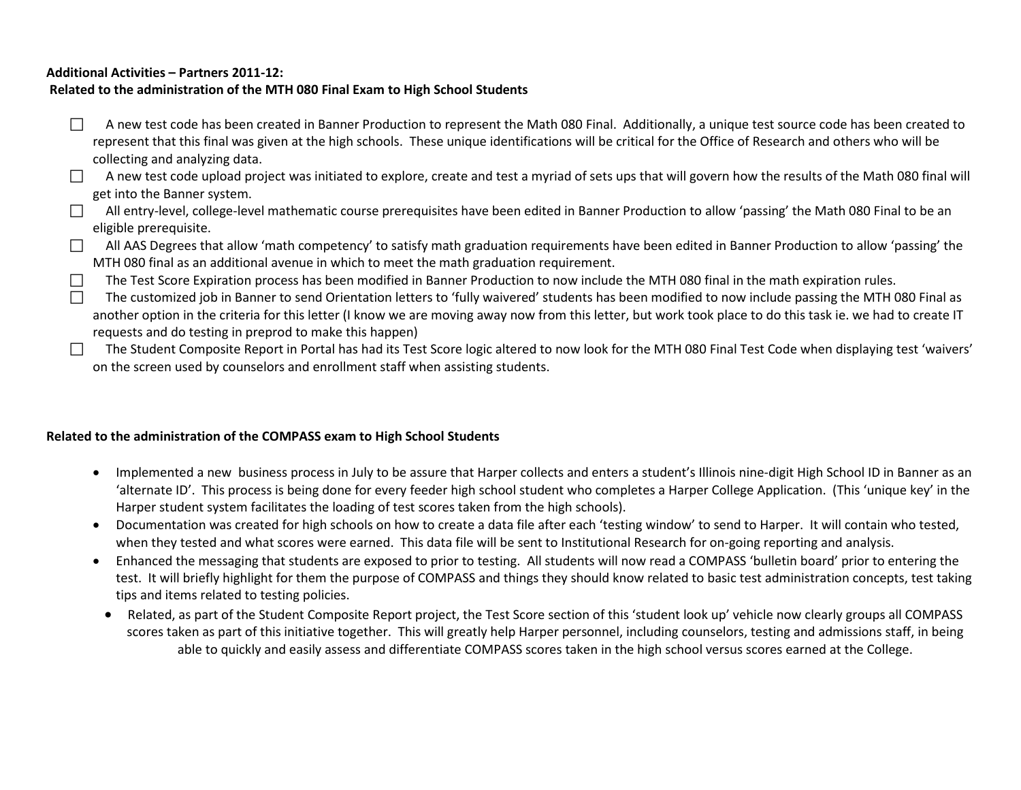#### **Additional Activities – Partners 2011-12:**

#### **Related to the administration of the MTH 080 Final Exam to High School Students**

- $\Box$  A new test code has been created in Banner Production to represent the Math 080 Final. Additionally, a unique test source code has been created to represent that this final was given at the high schools. These unique identifications will be critical for the Office of Research and others who will be collecting and analyzing data.
- A new test code upload project was initiated to explore, create and test a myriad of sets ups that will govern how the results of the Math 080 final will get into the Banner system.
- $\Box$  All entry-level, college-level mathematic course prerequisites have been edited in Banner Production to allow 'passing' the Math 080 Final to be an eligible prerequisite.
- $\Box$  All AAS Degrees that allow 'math competency' to satisfy math graduation requirements have been edited in Banner Production to allow 'passing' the MTH 080 final as an additional avenue in which to meet the math graduation requirement.
- $\Box$  The Test Score Expiration process has been modified in Banner Production to now include the MTH 080 final in the math expiration rules.
- $\Box$  The customized job in Banner to send Orientation letters to 'fully waivered' students has been modified to now include passing the MTH 080 Final as another option in the criteria for this letter (I know we are moving away now from this letter, but work took place to do this task ie. we had to create IT requests and do testing in preprod to make this happen)
- $\Box$  The Student Composite Report in Portal has had its Test Score logic altered to now look for the MTH 080 Final Test Code when displaying test 'waivers' on the screen used by counselors and enrollment staff when assisting students.

#### **Related to the administration of the COMPASS exam to High School Students**

- Implemented a new business process in July to be assure that Harper collects and enters a student's Illinois nine-digit High School ID in Banner as an 'alternate ID'. This process is being done for every feeder high school student who completes a Harper College Application. (This 'unique key' in the Harper student system facilitates the loading of test scores taken from the high schools).
- Documentation was created for high schools on how to create a data file after each 'testing window' to send to Harper. It will contain who tested, when they tested and what scores were earned. This data file will be sent to Institutional Research for on-going reporting and analysis.
- Enhanced the messaging that students are exposed to prior to testing. All students will now read a COMPASS 'bulletin board' prior to entering the test. It will briefly highlight for them the purpose of COMPASS and things they should know related to basic test administration concepts, test taking tips and items related to testing policies.
- Related, as part of the Student Composite Report project, the Test Score section of this 'student look up' vehicle now clearly groups all COMPASS scores taken as part of this initiative together. This will greatly help Harper personnel, including counselors, testing and admissions staff, in being able to quickly and easily assess and differentiate COMPASS scores taken in the high school versus scores earned at the College.